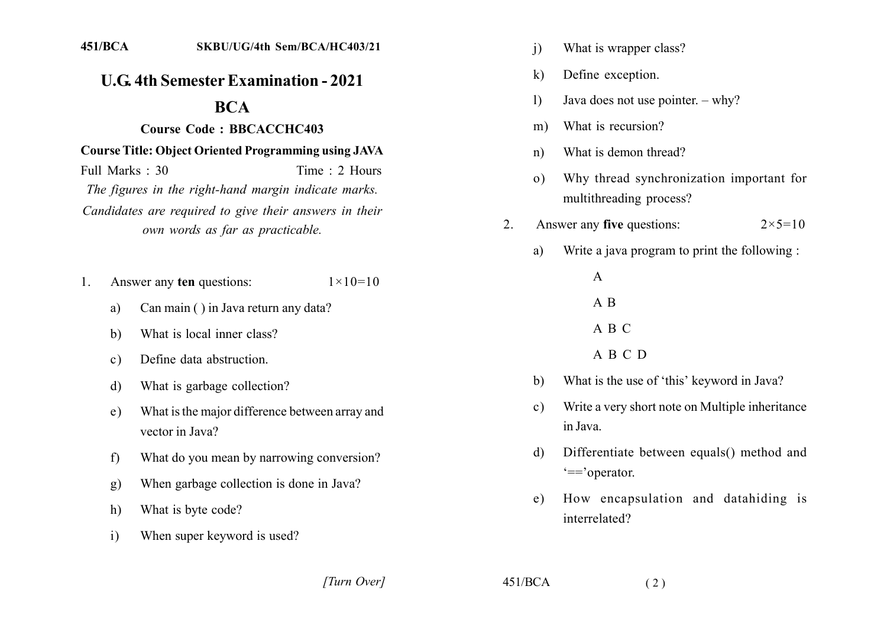## **U.G. 4th Semester Examination - 2021**

## **BCA**

## Course Code: BBCACCHC403

## **Course Title: Object Oriented Programming using JAVA**

Full Marks  $\cdot$  30 Time  $\cdot$  2 Hours The figures in the right-hand margin indicate marks. Candidates are required to give their answers in their own words as far as practicable.

- Answer any ten questions:  $1 \times 10 = 10$  $1$ 
	- Can main () in Java return any data? a)
	- What is local inner class?  $h$
	- Define data abstruction.  $c)$
	- What is garbage collection? d)
	- What is the major difference between array and  $e)$ vector in Java?
	- What do you mean by narrowing conversion?  $f$
	- When garbage collection is done in Java?  $g)$
	- What is byte code?  $h)$
	- When super keyword is used?  $\mathbf{i}$
- $\mathbf{i}$ What is wrapper class?
- $\bf k$ Define exception.
- Java does not use pointer.  $-\text{why?}$  $\mathbf{D}$
- What is recursion?  $m)$
- What is demon thread?  $n)$
- Why thread synchronization important for  $\Omega$ multithreading process?
- Answer any five questions:  $2 \times 5 = 10$  $2^{\circ}$ 
	- Write a java program to print the following : a)

 $\mathsf{A}$  $A$  B A B C

- A B C D
- What is the use of 'this' keyword in Java?  $h$
- Write a very short note on Multiple inheritance  $c)$ in Java
- Differentiate between equals() method and  $\mathbf{d}$  $'=='operator.$
- How encapsulation and datahiding is  $e)$ interrelated?

[Turn Over]

 $451/BCA$ 

 $(2)$